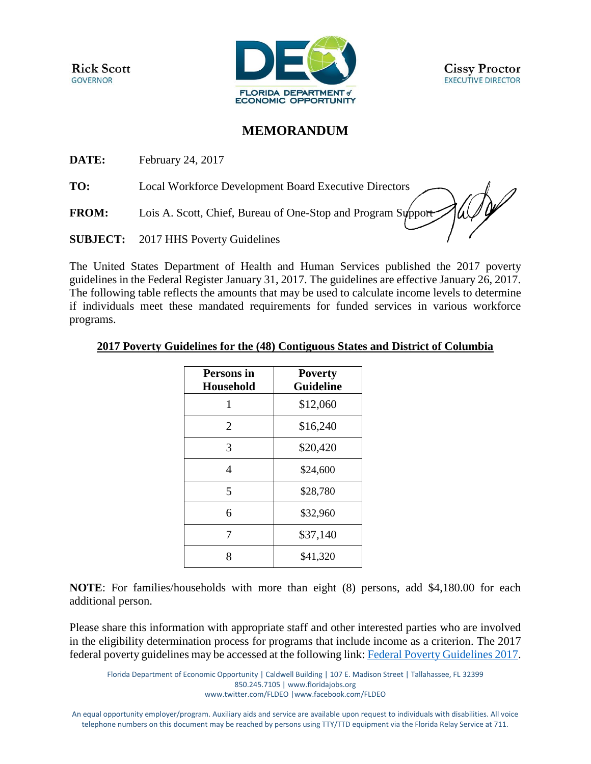**Rick Scott GOVERNOR** 



## **MEMORANDUM**

**DATE:** February 24, 2017

**TO:** Local Workforce Development Board Executive Directors

**FROM:** Lois A. Scott, Chief, Bureau of One-Stop and Program Support

**SUBJECT:** 2017 HHS Poverty Guidelines

The United States Department of Health and Human Services published the 2017 poverty guidelines in the Federal Register January 31, 2017. The guidelines are effective January 26, 2017. The following table reflects the amounts that may be used to calculate income levels to determine if individuals meet these mandated requirements for funded services in various workforce programs.

## **2017 Poverty Guidelines for the (48) Contiguous States and District of Columbia**

| Persons in<br><b>Household</b> | <b>Poverty</b><br><b>Guideline</b> |
|--------------------------------|------------------------------------|
| 1                              | \$12,060                           |
| 2                              | \$16,240                           |
| 3                              | \$20,420                           |
| 4                              | \$24,600                           |
| 5                              | \$28,780                           |
| 6                              | \$32,960                           |
| 7                              | \$37,140                           |
| Ջ                              | \$41,320                           |

**NOTE**: For families/households with more than eight (8) persons, add \$4,180.00 for each additional person.

Please share this information with appropriate staff and other interested parties who are involved in the eligibility determination process for programs that include income as a criterion. The 2017 federal poverty guidelines may be accessed at the following link: [Federal Poverty Guidelines 2017.](https://aspe.hhs.gov/poverty-guidelines)

An equal opportunity employer/program. Auxiliary aids and service are available upon request to individuals with disabilities. All voice telephone numbers on this document may be reached by persons using TTY/TTD equipment via the Florida Relay Service at 711.